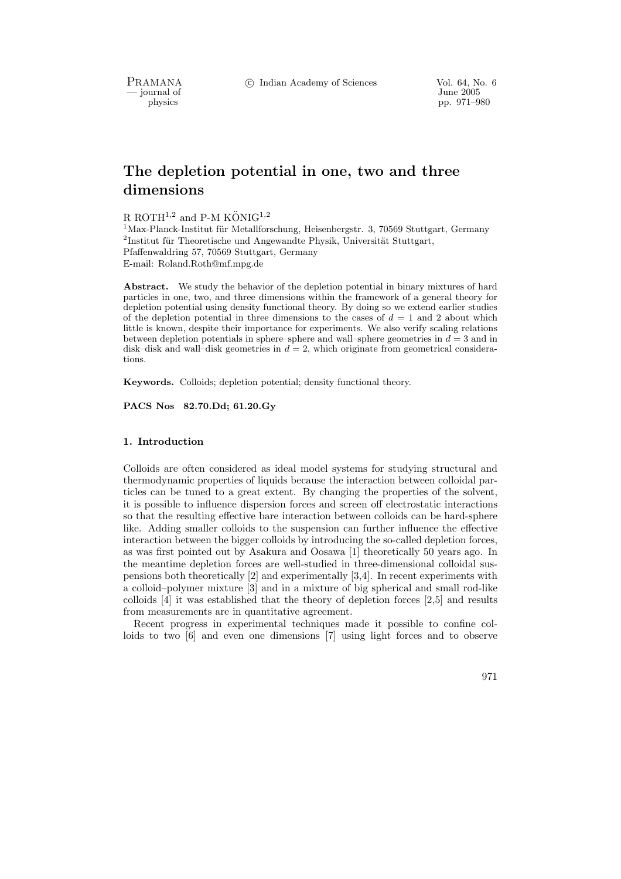PRAMANA °c Indian Academy of Sciences Vol. 64, No. 6

- journal of

physics pp. 971–980

# The depletion potential in one, two and three dimensions

R ROTH<sup>1,2</sup> and P-M KÖNIG<sup>1,2</sup>

 $1$ Max-Planck-Institut für Metallforschung, Heisenbergstr. 3, 70569 Stuttgart, Germany  $2$ Institut für Theoretische und Angewandte Physik, Universität Stuttgart, Pfaffenwaldring 57, 70569 Stuttgart, Germany E-mail: Roland.Roth@mf.mpg.de

Abstract. We study the behavior of the depletion potential in binary mixtures of hard particles in one, two, and three dimensions within the framework of a general theory for depletion potential using density functional theory. By doing so we extend earlier studies of the depletion potential in three dimensions to the cases of  $d = 1$  and 2 about which little is known, despite their importance for experiments. We also verify scaling relations between depletion potentials in sphere–sphere and wall–sphere geometries in  $d = 3$  and in disk–disk and wall–disk geometries in  $d = 2$ , which originate from geometrical considerations.

Keywords. Colloids; depletion potential; density functional theory.

PACS Nos 82.70.Dd; 61.20.Gy

### 1. Introduction

Colloids are often considered as ideal model systems for studying structural and thermodynamic properties of liquids because the interaction between colloidal particles can be tuned to a great extent. By changing the properties of the solvent, it is possible to influence dispersion forces and screen off electrostatic interactions so that the resulting effective bare interaction between colloids can be hard-sphere like. Adding smaller colloids to the suspension can further influence the effective interaction between the bigger colloids by introducing the so-called depletion forces, as was first pointed out by Asakura and Oosawa [1] theoretically 50 years ago. In the meantime depletion forces are well-studied in three-dimensional colloidal suspensions both theoretically [2] and experimentally [3,4]. In recent experiments with a colloid–polymer mixture [3] and in a mixture of big spherical and small rod-like colloids [4] it was established that the theory of depletion forces [2,5] and results from measurements are in quantitative agreement.

Recent progress in experimental techniques made it possible to confine colloids to two [6] and even one dimensions [7] using light forces and to observe

971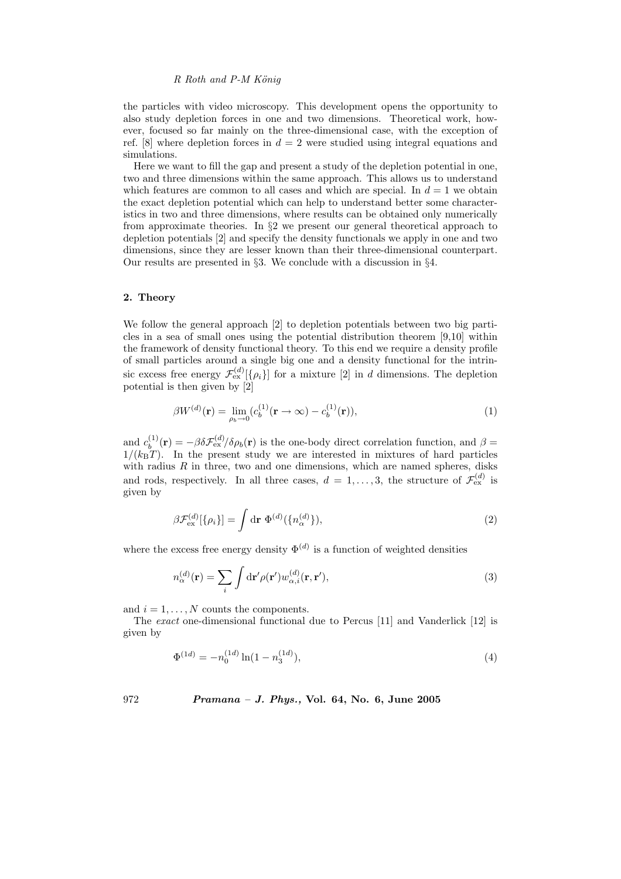the particles with video microscopy. This development opens the opportunity to also study depletion forces in one and two dimensions. Theoretical work, however, focused so far mainly on the three-dimensional case, with the exception of ref. [8] where depletion forces in  $d = 2$  were studied using integral equations and simulations.

Here we want to fill the gap and present a study of the depletion potential in one, two and three dimensions within the same approach. This allows us to understand which features are common to all cases and which are special. In  $d = 1$  we obtain the exact depletion potential which can help to understand better some characteristics in two and three dimensions, where results can be obtained only numerically from approximate theories. In §2 we present our general theoretical approach to depletion potentials [2] and specify the density functionals we apply in one and two dimensions, since they are lesser known than their three-dimensional counterpart. Our results are presented in §3. We conclude with a discussion in §4.

#### 2. Theory

We follow the general approach [2] to depletion potentials between two big particles in a sea of small ones using the potential distribution theorem [9,10] within the framework of density functional theory. To this end we require a density profile of small particles around a single big one and a density functional for the intrinsic excess free energy  $\mathcal{F}_{\text{ex}}^{(d)}[\{\rho_i\}]$  for a mixture [2] in d dimensions. The depletion potential is then given by  $[2]$ 

$$
\beta W^{(d)}(\mathbf{r}) = \lim_{\rho_b \to 0} (c_b^{(1)}(\mathbf{r} \to \infty) - c_b^{(1)}(\mathbf{r})),\tag{1}
$$

and  $c_b^{(1)}(\mathbf{r}) = -\beta \delta \mathcal{F}_{\text{ex}}^{(d)}/\delta \rho_b(\mathbf{r})$  is the one-body direct correlation function, and  $\beta =$  $1/(k_BT)$ . In the present study we are interested in mixtures of hard particles with radius  $R$  in three, two and one dimensions, which are named spheres, disks and rods, respectively. In all three cases,  $d = 1, \ldots, 3$ , the structure of  $\mathcal{F}_{ex}^{(d)}$  is given by

$$
\beta \mathcal{F}_{\text{ex}}^{(d)}[\{\rho_i\}] = \int d\mathbf{r} \ \Phi^{(d)}(\{n_{\alpha}^{(d)}\}), \tag{2}
$$

where the excess free energy density  $\Phi^{(d)}$  is a function of weighted densities

$$
n_{\alpha}^{(d)}(\mathbf{r}) = \sum_{i} \int \mathrm{d}\mathbf{r}' \rho(\mathbf{r}') w_{\alpha,i}^{(d)}(\mathbf{r}, \mathbf{r}'), \tag{3}
$$

and  $i = 1, \ldots, N$  counts the components.

The exact one-dimensional functional due to Percus [11] and Vanderlick [12] is given by

$$
\Phi^{(1d)} = -n_0^{(1d)} \ln(1 - n_3^{(1d)}),\tag{4}
$$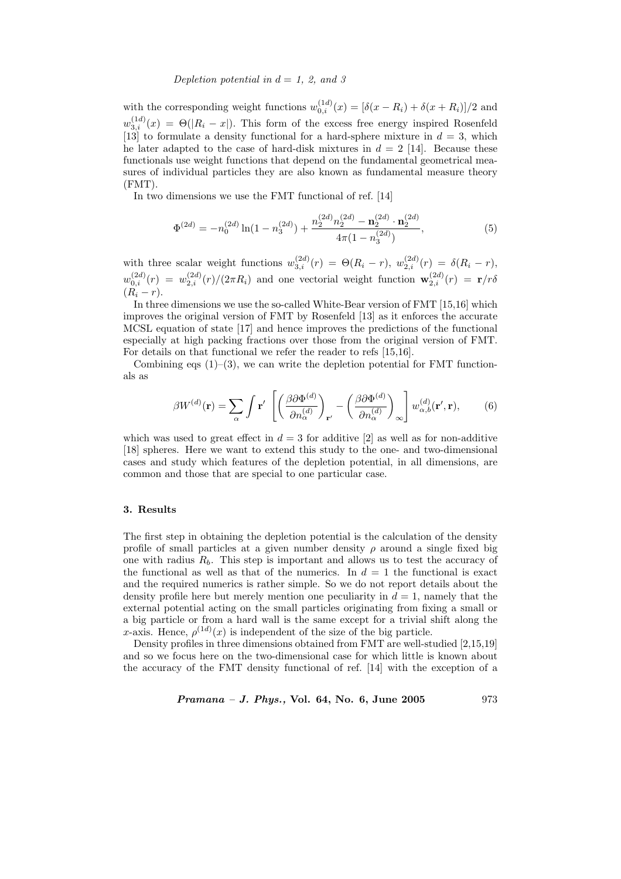## Depletion potential in  $d = 1, 2,$  and 3

with the corresponding weight functions  $w_{0,i}^{(1d)}(x) = [\delta(x - R_i) + \delta(x + R_i)]/2$  and  $w_{3,i}^{(1d)}(x) = \Theta(|R_i - x|)$ . This form of the excess free energy inspired Rosenfeld [13] to formulate a density functional for a hard-sphere mixture in  $d = 3$ , which he later adapted to the case of hard-disk mixtures in  $d = 2$  [14]. Because these functionals use weight functions that depend on the fundamental geometrical measures of individual particles they are also known as fundamental measure theory (FMT).

In two dimensions we use the FMT functional of ref. [14]

$$
\Phi^{(2d)} = -n_0^{(2d)}\ln(1 - n_3^{(2d)}) + \frac{n_2^{(2d)}n_2^{(2d)} - n_2^{(2d)}\cdot n_2^{(2d)}}{4\pi(1 - n_3^{(2d)})},\tag{5}
$$

with three scalar weight functions  $w_{3,i}^{(2d)}(r) = \Theta(R_i - r)$ ,  $w_{2,i}^{(2d)}(r) = \delta(R_i - r)$ ,  $w_{0,i}^{(2d)}(r) = w_{2,i}^{(2d)}(r)/(2\pi R_i)$  and one vectorial weight function  $\mathbf{w}_{2,i}^{(2d)}(r) = \mathbf{r}/r\delta$  $(R_i - r).$ 

In three dimensions we use the so-called White-Bear version of FMT [15,16] which improves the original version of FMT by Rosenfeld [13] as it enforces the accurate MCSL equation of state [17] and hence improves the predictions of the functional especially at high packing fractions over those from the original version of FMT. For details on that functional we refer the reader to refs [15,16].

Combining eqs  $(1)$ – $(3)$ , we can write the depletion potential for FMT functionals as

$$
\beta W^{(d)}(\mathbf{r}) = \sum_{\alpha} \int \mathbf{r}' \left[ \left( \frac{\beta \partial \Phi^{(d)}}{\partial n_{\alpha}^{(d)}} \right)_{\mathbf{r}'} - \left( \frac{\beta \partial \Phi^{(d)}}{\partial n_{\alpha}^{(d)}} \right)_{\infty} \right] w_{\alpha, b}^{(d)}(\mathbf{r}', \mathbf{r}), \quad (6)
$$

which was used to great effect in  $d = 3$  for additive [2] as well as for non-additive [18] spheres. Here we want to extend this study to the one- and two-dimensional cases and study which features of the depletion potential, in all dimensions, are common and those that are special to one particular case.

## 3. Results

The first step in obtaining the depletion potential is the calculation of the density profile of small particles at a given number density  $\rho$  around a single fixed big one with radius  $R_b$ . This step is important and allows us to test the accuracy of the functional as well as that of the numerics. In  $d = 1$  the functional is exact and the required numerics is rather simple. So we do not report details about the density profile here but merely mention one peculiarity in  $d = 1$ , namely that the external potential acting on the small particles originating from fixing a small or a big particle or from a hard wall is the same except for a trivial shift along the x-axis. Hence,  $\rho^{(1d)}(x)$  is independent of the size of the big particle.

Density profiles in three dimensions obtained from FMT are well-studied [2,15,19] and so we focus here on the two-dimensional case for which little is known about the accuracy of the FMT density functional of ref. [14] with the exception of a

Pramana – J. Phys., Vol. 64, No. 6, June 2005

\n
$$
973
$$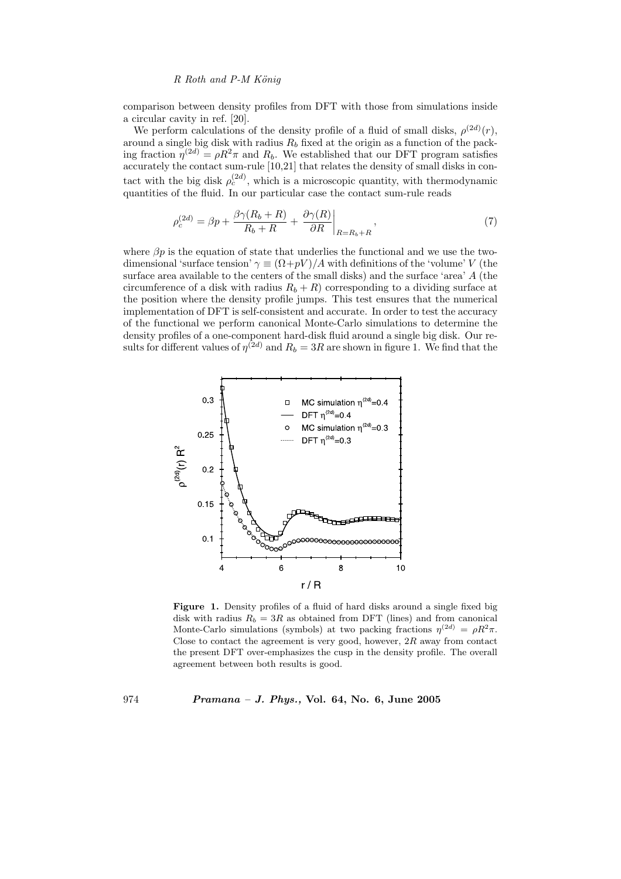comparison between density profiles from DFT with those from simulations inside a circular cavity in ref. [20].

We perform calculations of the density profile of a fluid of small disks,  $\rho^{(2d)}(r)$ , around a single big disk with radius  $R_b$  fixed at the origin as a function of the packing fraction  $\eta^{(2d)} = \rho R^2 \pi$  and  $R_b$ . We established that our DFT program satisfies accurately the contact sum-rule [10,21] that relates the density of small disks in contact with the big disk  $\rho_c^{(2d)}$ , which is a microscopic quantity, with thermodynamic quantities of the fluid. In our particular case the contact sum-rule reads

$$
\rho_c^{(2d)} = \beta p + \frac{\beta \gamma (R_b + R)}{R_b + R} + \left. \frac{\partial \gamma (R)}{\partial R} \right|_{R=R_b + R},\tag{7}
$$

where  $\beta p$  is the equation of state that underlies the functional and we use the twodimensional 'surface tension'  $\gamma \equiv (\Omega + pV)/A$  with definitions of the 'volume' V (the surface area available to the centers of the small disks) and the surface 'area' A (the circumference of a disk with radius  $R_b + R$ ) corresponding to a dividing surface at the position where the density profile jumps. This test ensures that the numerical implementation of DFT is self-consistent and accurate. In order to test the accuracy of the functional we perform canonical Monte-Carlo simulations to determine the density profiles of a one-component hard-disk fluid around a single big disk. Our results for different values of  $\eta^{(2d)}$  and  $R_b = 3R$  are shown in figure 1. We find that the



Figure 1. Density profiles of a fluid of hard disks around a single fixed big disk with radius  $R_b = 3R$  as obtained from DFT (lines) and from canonical Monte-Carlo simulations (symbols) at two packing fractions  $\eta^{(2d)} = \rho R^2 \pi$ . Close to contact the agreement is very good, however,  $2R$  away from contact the present DFT over-emphasizes the cusp in the density profile. The overall agreement between both results is good.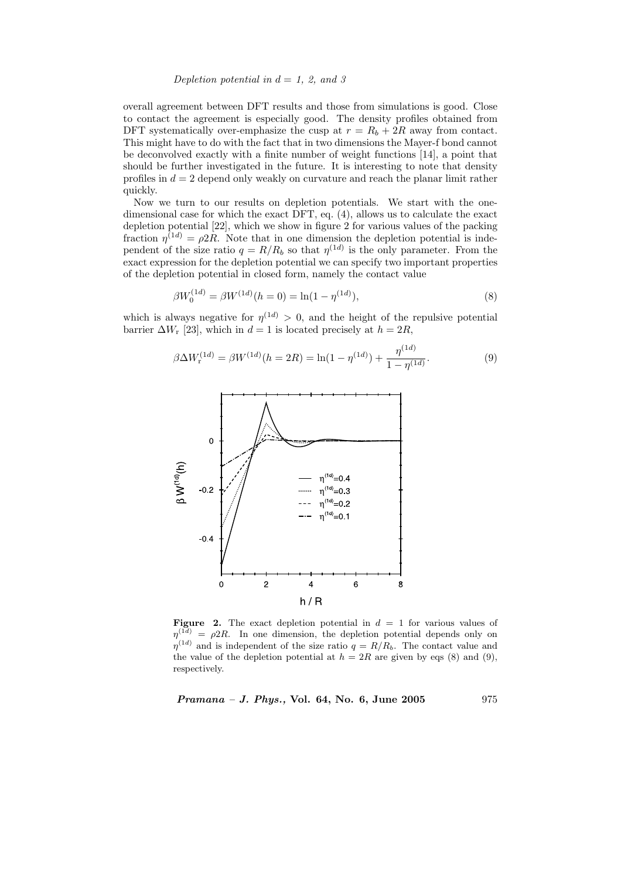Depletion potential in  $d = 1, 2,$  and 3

overall agreement between DFT results and those from simulations is good. Close to contact the agreement is especially good. The density profiles obtained from DFT systematically over-emphasize the cusp at  $r = R_b + 2R$  away from contact. This might have to do with the fact that in two dimensions the Mayer-f bond cannot be deconvolved exactly with a finite number of weight functions [14], a point that should be further investigated in the future. It is interesting to note that density profiles in  $d = 2$  depend only weakly on curvature and reach the planar limit rather quickly.

Now we turn to our results on depletion potentials. We start with the onedimensional case for which the exact DFT, eq. (4), allows us to calculate the exact depletion potential [22], which we show in figure 2 for various values of the packing fraction  $\eta^{(1d)} = \rho 2R$ . Note that in one dimension the depletion potential is independent of the size ratio  $q = R/R_b$  so that  $\eta^{(1d)}$  is the only parameter. From the exact expression for the depletion potential we can specify two important properties of the depletion potential in closed form, namely the contact value

$$
\beta W_0^{(1d)} = \beta W^{(1d)}(h=0) = \ln(1 - \eta^{(1d)}),\tag{8}
$$

which is always negative for  $\eta^{(1d)} > 0$ , and the height of the repulsive potential barrier  $\Delta W_r$  [23], which in  $d=1$  is located precisely at  $h=2R$ ,

$$
\beta \Delta W_{\mathbf{r}}^{(1d)} = \beta W^{(1d)}(h = 2R) = \ln(1 - \eta^{(1d)}) + \frac{\eta^{(1d)}}{1 - \eta^{(1d)}}.
$$
\n(9)



**Figure 2.** The exact depletion potential in  $d = 1$  for various values of  $\eta^{(1d)} = \rho^2 R$ . In one dimension, the depletion potential depends only on  $\eta^{(1d)}$  and is independent of the size ratio  $q = R/R_b$ . The contact value and the value of the depletion potential at  $h = 2R$  are given by eqs (8) and (9), respectively.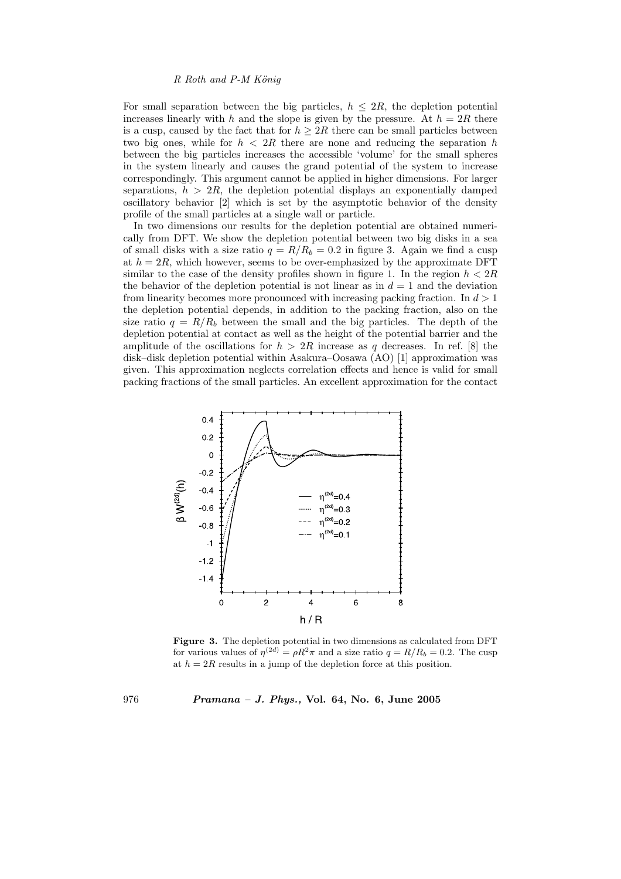For small separation between the big particles,  $h \leq 2R$ , the depletion potential increases linearly with h and the slope is given by the pressure. At  $h = 2R$  there is a cusp, caused by the fact that for  $h \geq 2R$  there can be small particles between two big ones, while for  $h < 2R$  there are none and reducing the separation h between the big particles increases the accessible 'volume' for the small spheres in the system linearly and causes the grand potential of the system to increase correspondingly. This argument cannot be applied in higher dimensions. For larger separations,  $h > 2R$ , the depletion potential displays an exponentially damped oscillatory behavior [2] which is set by the asymptotic behavior of the density profile of the small particles at a single wall or particle.

In two dimensions our results for the depletion potential are obtained numerically from DFT. We show the depletion potential between two big disks in a sea of small disks with a size ratio  $q = R/R_b = 0.2$  in figure 3. Again we find a cusp at  $h = 2R$ , which however, seems to be over-emphasized by the approximate DFT similar to the case of the density profiles shown in figure 1. In the region  $h < 2R$ the behavior of the depletion potential is not linear as in  $d = 1$  and the deviation from linearity becomes more pronounced with increasing packing fraction. In  $d > 1$ the depletion potential depends, in addition to the packing fraction, also on the size ratio  $q = R/R_b$  between the small and the big particles. The depth of the depletion potential at contact as well as the height of the potential barrier and the amplitude of the oscillations for  $h > 2R$  increase as q decreases. In ref. [8] the disk–disk depletion potential within Asakura–Oosawa (AO) [1] approximation was given. This approximation neglects correlation effects and hence is valid for small packing fractions of the small particles. An excellent approximation for the contact



Figure 3. The depletion potential in two dimensions as calculated from DFT for various values of  $\eta^{(2d)} = \rho R^2 \pi$  and a size ratio  $q = R/R_b = 0.2$ . The cusp at  $h = 2R$  results in a jump of the depletion force at this position.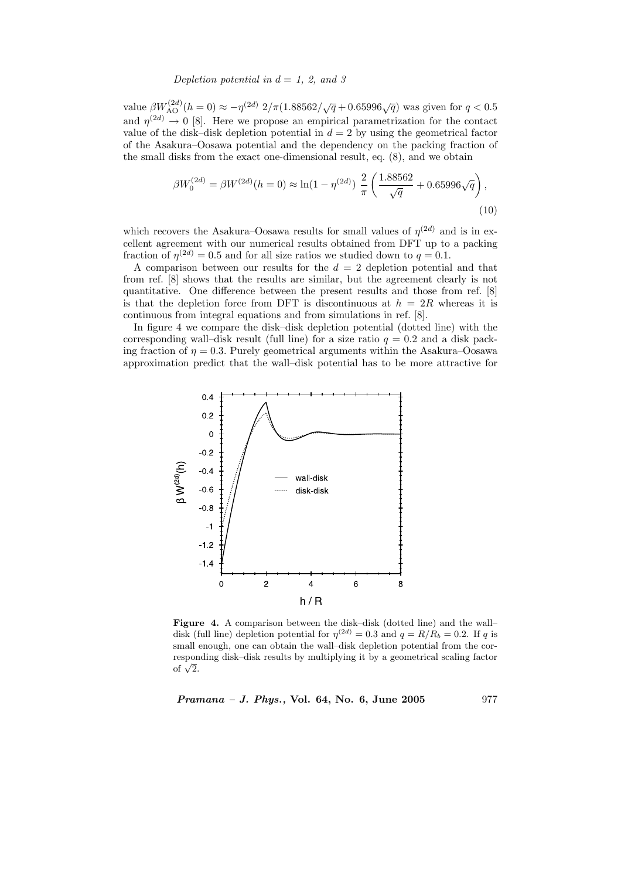## Depletion potential in  $d = 1, 2,$  and 3

value  $\beta W_{\text{AO}}^{(2d)}(h=0) \approx -\eta^{(2d)} 2/\pi (1.88562/\sqrt{q} + 0.65996\sqrt{q})$  was given for  $q < 0.5$ and  $\eta^{(2d)} \to 0$  [8]. Here we propose an empirical parametrization for the contact value of the disk–disk depletion potential in  $d = 2$  by using the geometrical factor of the Asakura–Oosawa potential and the dependency on the packing fraction of the small disks from the exact one-dimensional result, eq. (8), and we obtain

$$
\beta W_0^{(2d)} = \beta W^{(2d)}(h=0) \approx \ln(1 - \eta^{(2d)}) \frac{2}{\pi} \left( \frac{1.88562}{\sqrt{q}} + 0.65996\sqrt{q} \right),\tag{10}
$$

which recovers the Asakura–Oosawa results for small values of  $\eta^{(2d)}$  and is in excellent agreement with our numerical results obtained from DFT up to a packing fraction of  $\eta^{(2d)} = 0.5$  and for all size ratios we studied down to  $q = 0.1$ .

A comparison between our results for the  $d = 2$  depletion potential and that from ref. [8] shows that the results are similar, but the agreement clearly is not quantitative. One difference between the present results and those from ref. [8] is that the depletion force from DFT is discontinuous at  $h = 2R$  whereas it is continuous from integral equations and from simulations in ref. [8].

In figure 4 we compare the disk–disk depletion potential (dotted line) with the corresponding wall–disk result (full line) for a size ratio  $q = 0.2$  and a disk packing fraction of  $\eta = 0.3$ . Purely geometrical arguments within the Asakura–Oosawa approximation predict that the wall–disk potential has to be more attractive for



Figure 4. A comparison between the disk–disk (dotted line) and the wall– disk (full line) depletion potential for  $\eta^{(2d)} = 0.3$  and  $q = R/R_b = 0.2$ . If q is small enough, one can obtain the wall–disk depletion potential from the corresponding disk–disk results by multiplying it by a geometrical scaling factor of  $\sqrt{2}$ .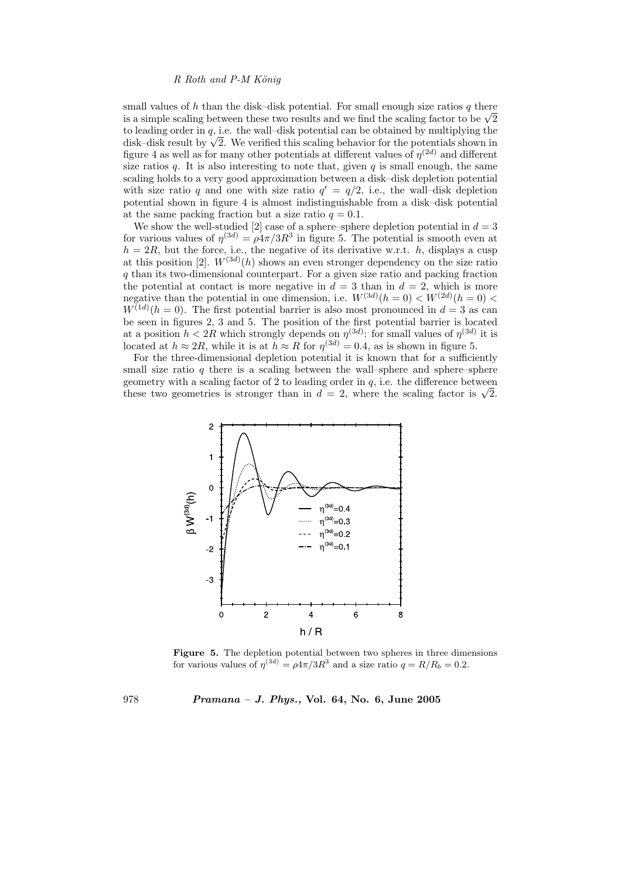small values of h than the disk–disk potential. For small enough size ratios  $q$  there is a simple scaling between these two results and we find the scaling factor to be  $\sqrt{2}$ to leading order in  $q$ , i.e. the wall-disk potential can be obtained by multiplying the disk–disk result by  $\sqrt{2}$ . We verified this scaling behavior for the potentials shown in figure 4 as well as for many other potentials at different values of  $\eta^{(2d)}$  and different size ratios q. It is also interesting to note that, given q is small enough, the same scaling holds to a very good approximation between a disk–disk depletion potential with size ratio q and one with size ratio  $q' = q/2$ , i.e., the wall-disk depletion potential shown in figure 4 is almost indistinguishable from a disk–disk potential at the same packing fraction but a size ratio  $q = 0.1$ .

We show the well-studied [2] case of a sphere–sphere depletion potential in  $d = 3$ for various values of  $\eta^{(3d)} = \rho 4\pi/3R^3$  in figure 5. The potential is smooth even at  $h = 2R$ , but the force, i.e., the negative of its derivative w.r.t. h, displays a cusp at this position [2].  $W^{(3d)}(h)$  shows an even stronger dependency on the size ratio q than its two-dimensional counterpart. For a given size ratio and packing fraction the potential at contact is more negative in  $\tilde{d} = 3$  than in  $d = 2$ , which is more negative than the potential in one dimension, i.e.  $W^{(3d)}(h=0) < W^{(2d)}(h=0)$  $W^{(1d)}(h=0)$ . The first potential barrier is also most pronounced in  $d=3$  as can be seen in figures 2, 3 and 5. The position of the first potential barrier is located at a position  $h < 2R$  which strongly depends on  $\eta^{(3d)}$ : for small values of  $\eta^{(3d)}$  it is located at  $h \approx 2R$ , while it is at  $h \approx R$  for  $\eta^{(3d)} = 0.4$ , as is shown in figure 5.

For the three-dimensional depletion potential it is known that for a sufficiently small size ratio  $q$  there is a scaling between the wall–sphere and sphere–sphere geometry with a scaling factor of 2 to leading order in  $q$ , i.e. the difference between these two geometries is stronger than in  $d = 2$ , where the scaling factor is  $\sqrt{2}$ .



Figure 5. The depletion potential between two spheres in three dimensions for various values of  $\eta^{(3d)} = \rho 4\pi/3R^3$  and a size ratio  $q = R/R_b = 0.2$ .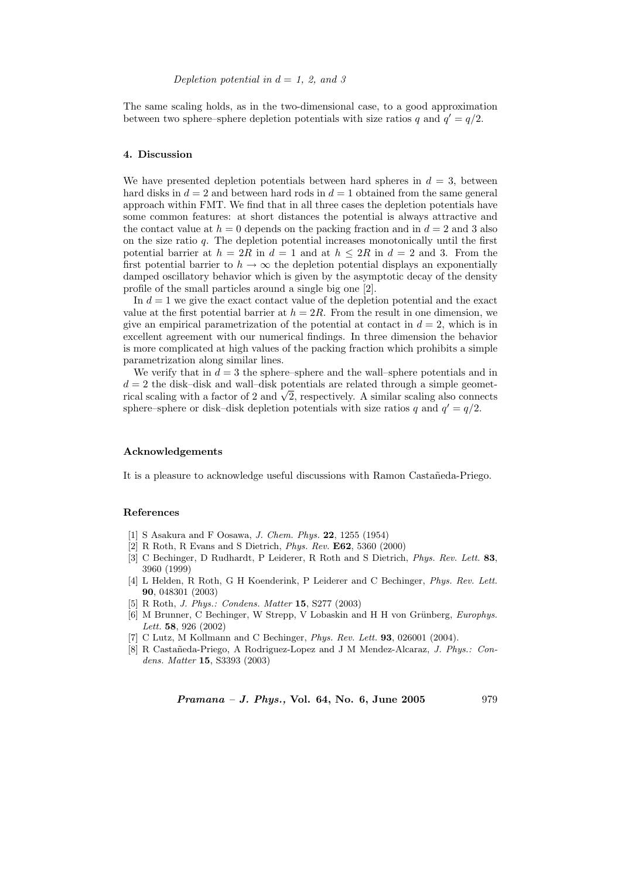The same scaling holds, as in the two-dimensional case, to a good approximation between two sphere–sphere depletion potentials with size ratios q and  $q' = q/2$ .

#### 4. Discussion

We have presented depletion potentials between hard spheres in  $d = 3$ , between hard disks in  $d = 2$  and between hard rods in  $d = 1$  obtained from the same general approach within FMT. We find that in all three cases the depletion potentials have some common features: at short distances the potential is always attractive and the contact value at  $h = 0$  depends on the packing fraction and in  $d = 2$  and 3 also on the size ratio  $q$ . The depletion potential increases monotonically until the first potential barrier at  $h = 2R$  in  $d = 1$  and at  $h \leq 2R$  in  $d = 2$  and 3. From the first potential barrier to  $h \to \infty$  the depletion potential displays an exponentially damped oscillatory behavior which is given by the asymptotic decay of the density profile of the small particles around a single big one [2].

In  $d = 1$  we give the exact contact value of the depletion potential and the exact value at the first potential barrier at  $h = 2R$ . From the result in one dimension, we give an empirical parametrization of the potential at contact in  $d = 2$ , which is in excellent agreement with our numerical findings. In three dimension the behavior is more complicated at high values of the packing fraction which prohibits a simple parametrization along similar lines.

We verify that in  $d = 3$  the sphere–sphere and the wall–sphere potentials and in  $d = 2$  the disk-disk and wall-disk potentials are related through a simple geometrical scaling with a factor of 2 and  $\sqrt{2}$ , respectively. A similar scaling also connects sphere–sphere or disk–disk depletion potentials with size ratios q and  $q' = q/2$ .

#### Acknowledgements

It is a pleasure to acknowledge useful discussions with Ramon Castañeda-Priego.

#### References

- [1] S Asakura and F Oosawa, J. Chem. Phys. 22, 1255 (1954)
- [2] R Roth, R Evans and S Dietrich, Phys. Rev. E62, 5360 (2000)
- [3] C Bechinger, D Rudhardt, P Leiderer, R Roth and S Dietrich, Phys. Rev. Lett. 83, 3960 (1999)
- [4] L Helden, R Roth, G H Koenderink, P Leiderer and C Bechinger, Phys. Rev. Lett. 90, 048301 (2003)
- [5] R Roth, J. Phys.: Condens. Matter 15, S277 (2003)
- [6] M Brunner, C Bechinger, W Strepp, V Lobaskin and H H von Grünberg, *Europhys.* Lett. 58, 926 (2002)
- [7] C Lutz, M Kollmann and C Bechinger, *Phys. Rev. Lett.* **93**, 026001 (2004).
- [8] R Castañeda-Priego, A Rodriguez-Lopez and J M Mendez-Alcaraz, J. Phys.: Condens. Matter 15, S3393 (2003)